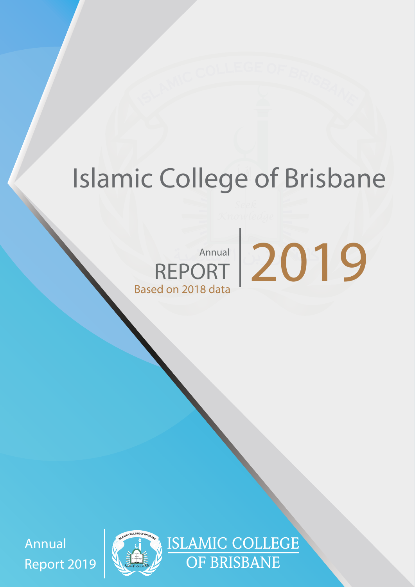# **Islamic College of Brisbane**

# Annual 2019 REPORT **Based on 2018 data**

Annual Report 2019 *Seek*



ISLAMIC COLLEGE OF BRISBANE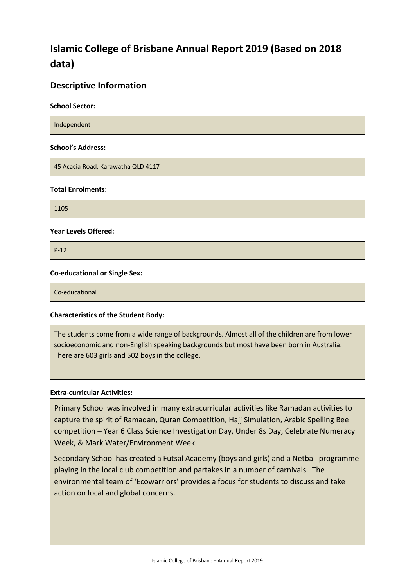# **Islamic College of Brisbane Annual Report 2019 (Based on 2018 data)**

#### **Descriptive Information**

**School Sector:** 

Independent

#### **School's Address:**

45 Acacia Road, Karawatha QLD 4117

#### **Total Enrolments:**

1105

#### **Year Levels Offered:**

P-12

#### **Co-educational or Single Sex:**

Co-educational

#### **Characteristics of the Student Body:**

The students come from a wide range of backgrounds. Almost all of the children are from lower socioeconomic and non-English speaking backgrounds but most have been born in Australia. There are 603 girls and 502 boys in the college.

#### **Extra-curricular Activities:**

Primary School was involved in many extracurricular activities like Ramadan activities to capture the spirit of Ramadan, Quran Competition, Hajj Simulation, Arabic Spelling Bee competition – Year 6 Class Science Investigation Day, Under 8s Day, Celebrate Numeracy Week, & Mark Water/Environment Week.

Secondary School has created a Futsal Academy (boys and girls) and a Netball programme playing in the local club competition and partakes in a number of carnivals. The environmental team of 'Ecowarriors' provides a focus for students to discuss and take action on local and global concerns.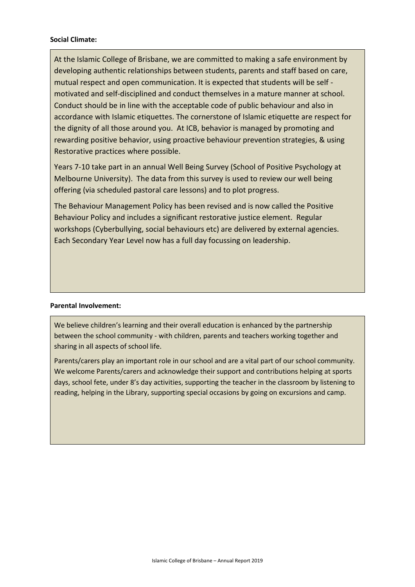#### **Social Climate:**

At the Islamic College of Brisbane, we are committed to making a safe environment by developing authentic relationships between students, parents and staff based on care, mutual respect and open communication. It is expected that students will be self motivated and self-disciplined and conduct themselves in a mature manner at school. Conduct should be in line with the acceptable code of public behaviour and also in accordance with Islamic etiquettes. The cornerstone of Islamic etiquette are respect for the dignity of all those around you. At ICB, behavior is managed by promoting and rewarding positive behavior, using proactive behaviour prevention strategies, & using Restorative practices where possible.

Years 7-10 take part in an annual Well Being Survey (School of Positive Psychology at Melbourne University). The data from this survey is used to review our well being offering (via scheduled pastoral care lessons) and to plot progress.

The Behaviour Management Policy has been revised and is now called the Positive Behaviour Policy and includes a significant restorative justice element. Regular workshops (Cyberbullying, social behaviours etc) are delivered by external agencies. Each Secondary Year Level now has a full day focussing on leadership.

#### **Parental Involvement:**

We believe children's learning and their overall education is enhanced by the partnership between the school community - with children, parents and teachers working together and sharing in all aspects of school life.

Parents/carers play an important role in our school and are a vital part of our school community. We welcome Parents/carers and acknowledge their support and contributions helping at sports days, school fete, under 8's day activities, supporting the teacher in the classroom by listening to reading, helping in the Library, supporting special occasions by going on excursions and camp.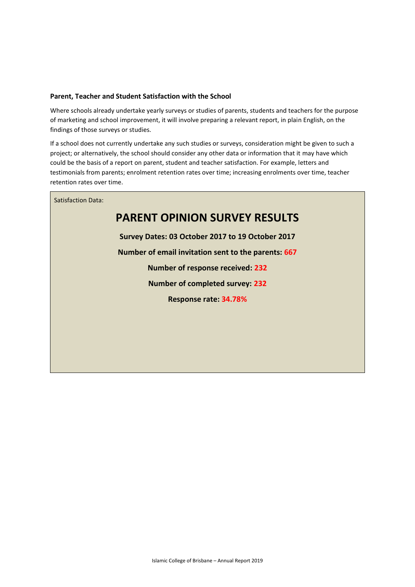#### **Parent, Teacher and Student Satisfaction with the School**

Where schools already undertake yearly surveys or studies of parents, students and teachers for the purpose of marketing and school improvement, it will involve preparing a relevant report, in plain English, on the findings of those surveys or studies.

If a school does not currently undertake any such studies or surveys, consideration might be given to such a project; or alternatively, the school should consider any other data or information that it may have which could be the basis of a report on parent, student and teacher satisfaction. For example, letters and testimonials from parents; enrolment retention rates over time; increasing enrolments over time, teacher retention rates over time.

Satisfaction Data:

### **PARENT OPINION SURVEY RESULTS**

**Survey Dates: 03 October 2017 to 19 October 2017 Number of email invitation sent to the parents: 667**

**Number of response received: 232**

**Number of completed survey: 232**

**Response rate: 34.78%**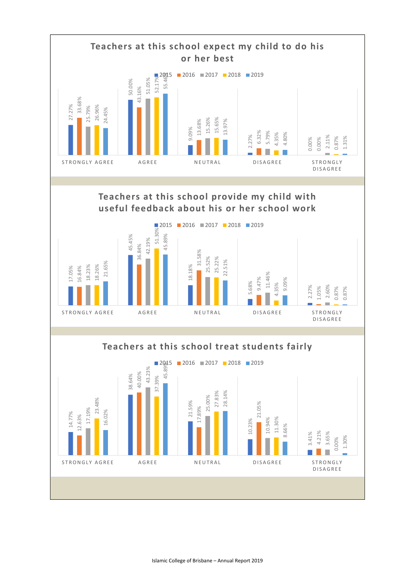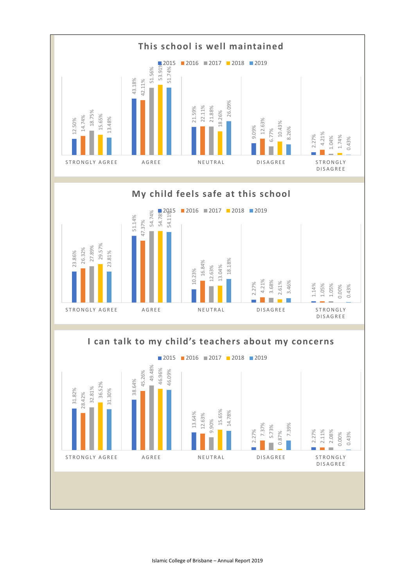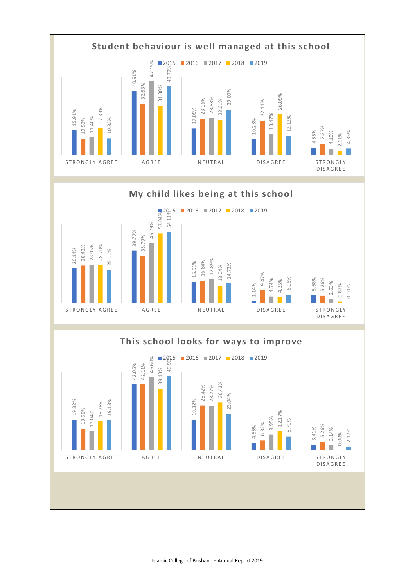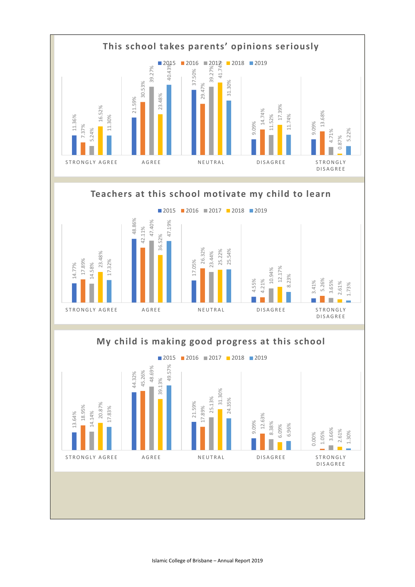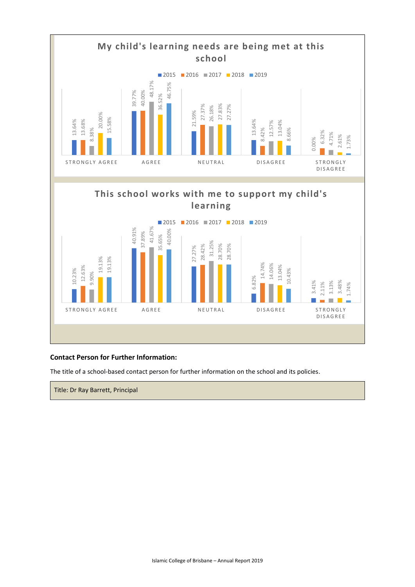

#### **Contact Person for Further Information:**

The title of a school-based contact person for further information on the school and its policies.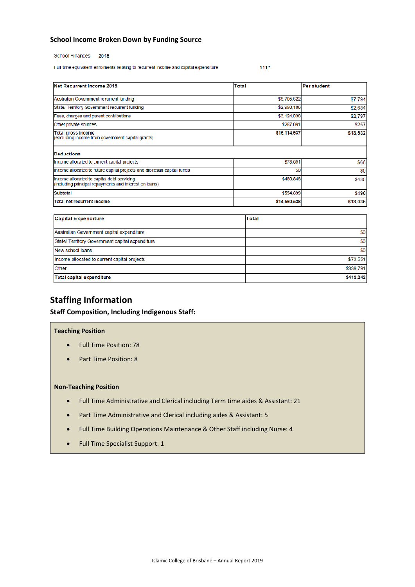#### **School Income Broken Down by Funding Source**

#### School Finances 2018

Full-time equivalent enrolments relating to recurrent income and capital expenditure 1117

| Net Recurrent Income 2018                                                                            | Total        | Per student |
|------------------------------------------------------------------------------------------------------|--------------|-------------|
| Australian Government recurrent funding                                                              | \$8,705,622  | \$7,794     |
| State/ Territory Government recurrent funding                                                        | \$2,998,186  | \$2,684     |
| Fees, charges and parent contributions                                                               | \$3,124,038  | \$2,797     |
| Other private sources                                                                                | \$287,091    | \$257       |
| Total gross income<br>(excluding income from government capital grants)                              | \$15,114,937 | \$13,532    |
| <b>Deductions</b>                                                                                    |              |             |
| Income allocated to current capital projects                                                         | \$73,551     | \$66        |
| Income allocated to future capital projects and diocesan capital funds                               | \$0          | \$0         |
| Income allocated to capital debt servicing<br>(including principal repayments and interest on loans) | \$480,848    | \$430       |
| <b>Subtotal</b>                                                                                      | \$554,399    | \$496       |
|                                                                                                      |              |             |

| <b>Capital Expenditure</b>                     | Total     |
|------------------------------------------------|-----------|
| Australian Government capital expenditure      | \$0       |
| State/Territory Government capital expenditure | \$0       |
| New school loans                               | \$0       |
| Income allocated to current capital projects   | \$73,551  |
| <b>Other</b>                                   | \$339,791 |
| <b>Total capital expenditure</b>               | \$413,342 |

#### **Staffing Information**

#### **Staff Composition, Including Indigenous Staff:**

#### **Teaching Position**

- Full Time Position: 78
- Part Time Position: 8

#### **Non-Teaching Position**

- Full Time Administrative and Clerical including Term time aides & Assistant: 21
- Part Time Administrative and Clerical including aides & Assistant: 5
- Full Time Building Operations Maintenance & Other Staff including Nurse: 4
- Full Time Specialist Support: 1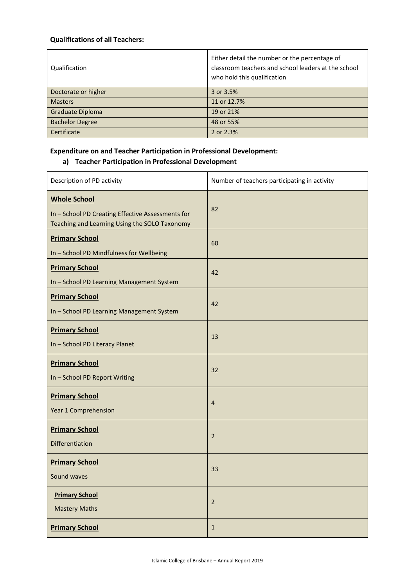#### **Qualifications of all Teachers:**

| Qualification          | Either detail the number or the percentage of<br>classroom teachers and school leaders at the school<br>who hold this qualification |
|------------------------|-------------------------------------------------------------------------------------------------------------------------------------|
| Doctorate or higher    | 3 or 3.5%                                                                                                                           |
| <b>Masters</b>         | 11 or 12.7%                                                                                                                         |
| Graduate Diploma       | 19 or 21%                                                                                                                           |
| <b>Bachelor Degree</b> | 48 or 55%                                                                                                                           |
| Certificate            | 2 or 2.3%                                                                                                                           |

#### **Expenditure on and Teacher Participation in Professional Development:**

#### **a) Teacher Participation in Professional Development**

| Description of PD activity                                                                                                | Number of teachers participating in activity |
|---------------------------------------------------------------------------------------------------------------------------|----------------------------------------------|
| <b>Whole School</b><br>In - School PD Creating Effective Assessments for<br>Teaching and Learning Using the SOLO Taxonomy | 82                                           |
| <b>Primary School</b><br>In - School PD Mindfulness for Wellbeing                                                         | 60                                           |
| <b>Primary School</b><br>In - School PD Learning Management System                                                        | 42                                           |
| <b>Primary School</b><br>In - School PD Learning Management System                                                        | 42                                           |
| <b>Primary School</b><br>In - School PD Literacy Planet                                                                   | 13                                           |
| <b>Primary School</b><br>In - School PD Report Writing                                                                    | 32                                           |
| <b>Primary School</b><br>Year 1 Comprehension                                                                             | $\overline{4}$                               |
| <b>Primary School</b><br>Differentiation                                                                                  | $\overline{2}$                               |
| <b>Primary School</b><br>Sound waves                                                                                      | 33                                           |
| <b>Primary School</b><br><b>Mastery Maths</b>                                                                             | 2                                            |
| <b>Primary School</b>                                                                                                     | $\mathbf{1}$                                 |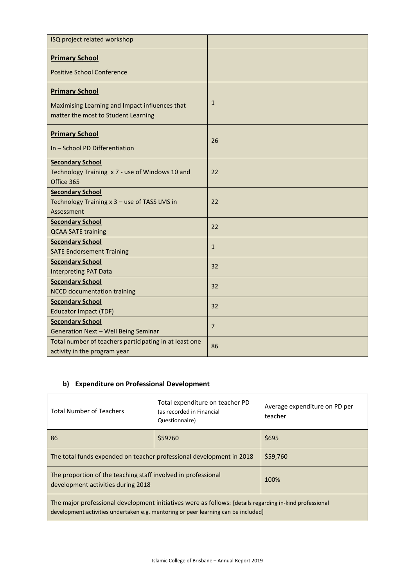| ISQ project related workshop                                                          |                |
|---------------------------------------------------------------------------------------|----------------|
| <b>Primary School</b>                                                                 |                |
| <b>Positive School Conference</b>                                                     |                |
| <b>Primary School</b>                                                                 |                |
| Maximising Learning and Impact influences that<br>matter the most to Student Learning | $\mathbf{1}$   |
| <b>Primary School</b>                                                                 | 26             |
| In - School PD Differentiation                                                        |                |
| <b>Secondary School</b>                                                               |                |
| Technology Training x 7 - use of Windows 10 and<br>Office 365                         | 22             |
| <b>Secondary School</b>                                                               |                |
| Technology Training x 3 - use of TASS LMS in                                          | 22             |
| Assessment                                                                            |                |
| <b>Secondary School</b>                                                               | 22             |
| <b>QCAA SATE training</b>                                                             |                |
| <b>Secondary School</b>                                                               | $1\,$          |
| <b>SATE Endorsement Training</b>                                                      |                |
| <b>Secondary School</b>                                                               | 32             |
| <b>Interpreting PAT Data</b>                                                          |                |
| <b>Secondary School</b>                                                               | 32             |
| <b>NCCD documentation training</b>                                                    |                |
| <b>Secondary School</b>                                                               | 32             |
| <b>Educator Impact (TDF)</b>                                                          |                |
| <b>Secondary School</b>                                                               | $\overline{7}$ |
| Generation Next - Well Being Seminar                                                  |                |
| Total number of teachers participating in at least one                                | 86             |
| activity in the program year                                                          |                |

#### **b) Expenditure on Professional Development**

| <b>Total Number of Teachers</b>                                                                                                                                                              | Total expenditure on teacher PD<br>(as recorded in Financial<br>Questionnaire) | Average expenditure on PD per<br>teacher |
|----------------------------------------------------------------------------------------------------------------------------------------------------------------------------------------------|--------------------------------------------------------------------------------|------------------------------------------|
| 86                                                                                                                                                                                           | \$59760                                                                        | \$695                                    |
| The total funds expended on teacher professional development in 2018                                                                                                                         |                                                                                | \$59,760                                 |
| The proportion of the teaching staff involved in professional<br>development activities during 2018                                                                                          |                                                                                | 100%                                     |
| The major professional development initiatives were as follows: [details regarding in-kind professional<br>development activities undertaken e.g. mentoring or peer learning can be included |                                                                                |                                          |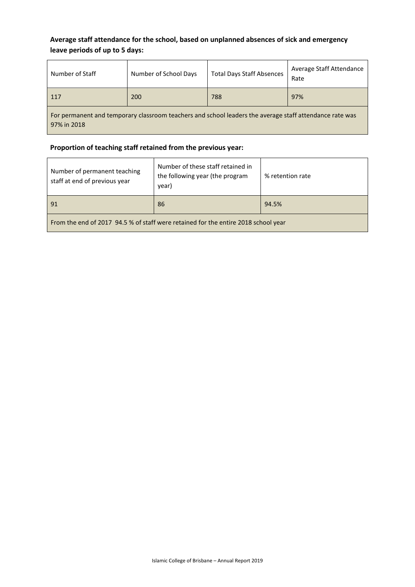#### **Average staff attendance for the school, based on unplanned absences of sick and emergency leave periods of up to 5 days:**

| Number of Staff                                                                                                        | Number of School Days | <b>Total Days Staff Absences</b> | Average Staff Attendance<br>Rate |
|------------------------------------------------------------------------------------------------------------------------|-----------------------|----------------------------------|----------------------------------|
| 117                                                                                                                    | 200                   | 788                              | 97%                              |
| For permanent and temporary classroom teachers and school leaders the average staff attendance rate was<br>97% in 2018 |                       |                                  |                                  |

#### **Proportion of teaching staff retained from the previous year:**

| Number of permanent teaching<br>staff at end of previous year                      | Number of these staff retained in<br>the following year (the program<br>year) | % retention rate |
|------------------------------------------------------------------------------------|-------------------------------------------------------------------------------|------------------|
| 91                                                                                 | 86                                                                            | 94.5%            |
| From the end of 2017 94.5 % of staff were retained for the entire 2018 school year |                                                                               |                  |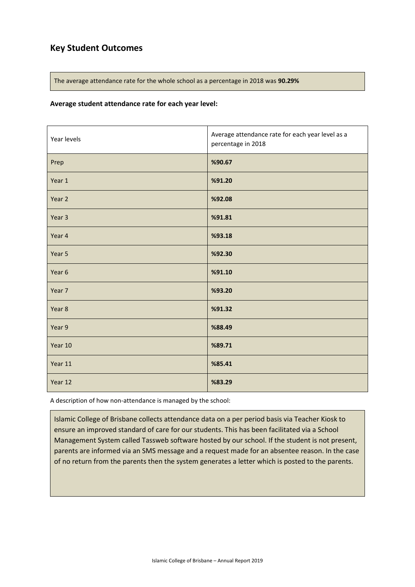#### **Key Student Outcomes**

The average attendance rate for the whole school as a percentage in 2018 was **90.29%**

#### **Average student attendance rate for each year level:**

| Year levels | Average attendance rate for each year level as a<br>percentage in 2018 |
|-------------|------------------------------------------------------------------------|
| Prep        | %90.67                                                                 |
| Year 1      | %91.20                                                                 |
| Year 2      | %92.08                                                                 |
| Year 3      | %91.81                                                                 |
| Year 4      | %93.18                                                                 |
| Year 5      | %92.30                                                                 |
| Year 6      | %91.10                                                                 |
| Year 7      | %93.20                                                                 |
| Year 8      | %91.32                                                                 |
| Year 9      | %88.49                                                                 |
| Year 10     | %89.71                                                                 |
| Year 11     | %85.41                                                                 |
| Year 12     | %83.29                                                                 |

A description of how non-attendance is managed by the school:

Islamic College of Brisbane collects attendance data on a per period basis via Teacher Kiosk to ensure an improved standard of care for our students. This has been facilitated via a School Management System called Tassweb software hosted by our school. If the student is not present, parents are informed via an SMS message and a request made for an absentee reason. In the case of no return from the parents then the system generates a letter which is posted to the parents.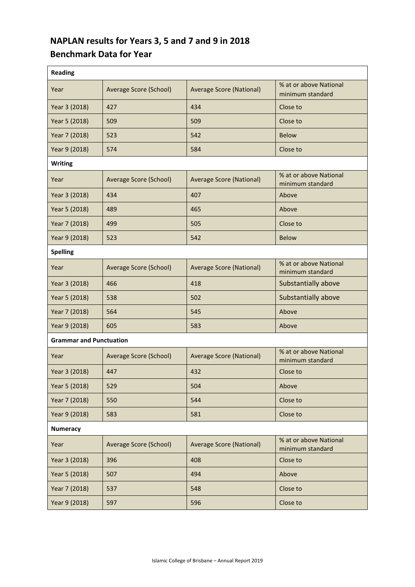## **NAPLAN results for Years 3, 5 and 7 and 9 in 2018 Benchmark Data for Year**

| <b>Reading</b>                 |                        |                                 |                                            |
|--------------------------------|------------------------|---------------------------------|--------------------------------------------|
| Year                           | Average Score (School) | <b>Average Score (National)</b> | % at or above National<br>minimum standard |
| Year 3 (2018)                  | 427                    | 434                             | Close to                                   |
| Year 5 (2018)                  | 509                    | 509                             | Close to                                   |
| Year 7 (2018)                  | 523                    | 542                             | <b>Below</b>                               |
| Year 9 (2018)                  | 574                    | 584                             | Close to                                   |
| <b>Writing</b>                 |                        |                                 |                                            |
| Year                           | Average Score (School) | <b>Average Score (National)</b> | % at or above National<br>minimum standard |
| Year 3 (2018)                  | 434                    | 407                             | Above                                      |
| Year 5 (2018)                  | 489                    | 465                             | Above                                      |
| Year 7 (2018)                  | 499                    | 505                             | Close to                                   |
| Year 9 (2018)                  | 523                    | 542                             | <b>Below</b>                               |
| <b>Spelling</b>                |                        |                                 |                                            |
| Year                           | Average Score (School) | <b>Average Score (National)</b> | % at or above National<br>minimum standard |
| Year 3 (2018)                  | 466                    | 418                             | Substantially above                        |
| Year 5 (2018)                  | 538                    | 502                             | Substantially above                        |
| Year 7 (2018)                  | 564                    | 545                             | Above                                      |
| Year 9 (2018)                  | 605                    | 583                             | Above                                      |
| <b>Grammar and Punctuation</b> |                        |                                 |                                            |
| Year                           | Average Score (School) | <b>Average Score (National)</b> | % at or above National<br>minimum standard |
| Year 3 (2018)                  | 447                    | 432                             | Close to                                   |
| Year 5 (2018)                  | 529                    | 504                             | Above                                      |
| Year 7 (2018)                  | 550                    | 544                             | Close to                                   |
| Year 9 (2018)                  | 583                    | 581                             | Close to                                   |
| <b>Numeracy</b>                |                        |                                 |                                            |
| Year                           | Average Score (School) | <b>Average Score (National)</b> | % at or above National<br>minimum standard |
| Year 3 (2018)                  | 396                    | 408                             | Close to                                   |
| Year 5 (2018)                  | 507                    | 494                             | Above                                      |
| Year 7 (2018)                  | 537                    | 548                             | Close to                                   |
| Year 9 (2018)                  | 597                    | 596                             | Close to                                   |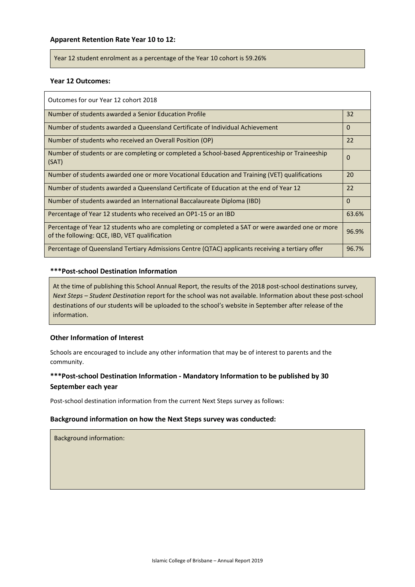#### **Apparent Retention Rate Year 10 to 12:**

Year 12 student enrolment as a percentage of the Year 10 cohort is 59.26%

#### **Year 12 Outcomes:**

| Outcomes for our Year 12 cohort 2018                                                                                                              |          |
|---------------------------------------------------------------------------------------------------------------------------------------------------|----------|
| Number of students awarded a Senior Education Profile                                                                                             | 32       |
| Number of students awarded a Queensland Certificate of Individual Achievement                                                                     | $\Omega$ |
| Number of students who received an Overall Position (OP)                                                                                          | 22       |
| Number of students or are completing or completed a School-based Apprenticeship or Traineeship<br>(SAT)                                           | 0        |
| Number of students awarded one or more Vocational Education and Training (VET) qualifications                                                     | 20       |
| Number of students awarded a Queensland Certificate of Education at the end of Year 12                                                            | 22       |
| Number of students awarded an International Baccalaureate Diploma (IBD)                                                                           | 0        |
| Percentage of Year 12 students who received an OP1-15 or an IBD                                                                                   | 63.6%    |
| Percentage of Year 12 students who are completing or completed a SAT or were awarded one or more<br>of the following: QCE, IBD, VET qualification | 96.9%    |
| Percentage of Queensland Tertiary Admissions Centre (QTAC) applicants receiving a tertiary offer                                                  | 96.7%    |

#### **\*\*\*Post-school Destination Information**

At the time of publishing this School Annual Report, the results of the 2018 post-school destinations survey, *Next Steps – Student Destination* report for the school was not available. Information about these post-school destinations of our students will be uploaded to the school's website in September after release of the information.

#### **Other Information of Interest**

Schools are encouraged to include any other information that may be of interest to parents and the community.

#### **\*\*\*Post-school Destination Information - Mandatory Information to be published by 30 September each year**

Post-school destination information from the current Next Steps survey as follows:

#### **Background information on how the Next Steps survey was conducted:**

Background information: